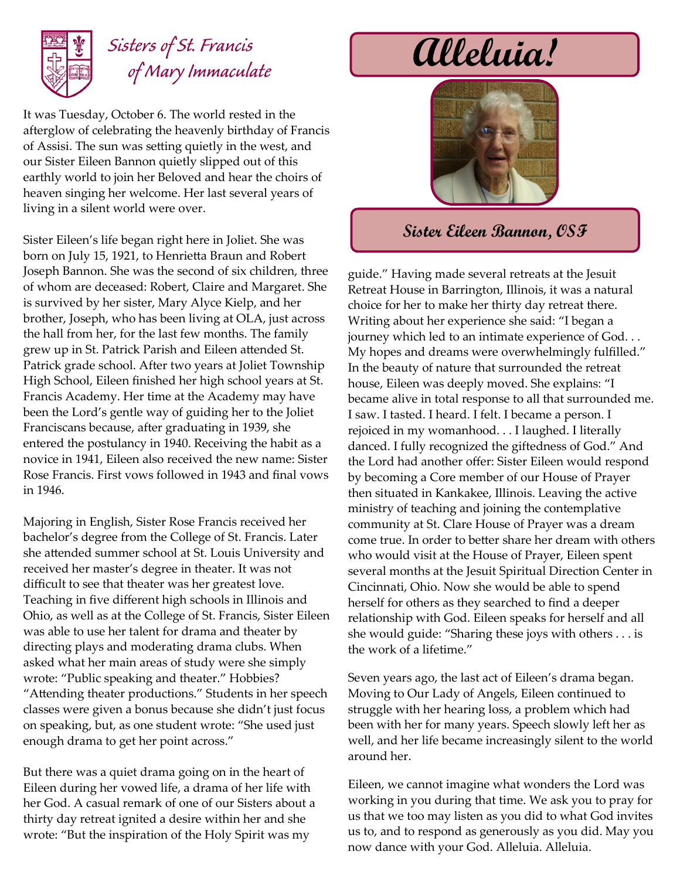

## *Sisters of St. Francis of Mary Immaculate*

It was Tuesday, October 6. The world rested in the afterglow of celebrating the heavenly birthday of Francis of Assisi. The sun was setting quietly in the west, and our Sister Eileen Bannon quietly slipped out of this earthly world to join her Beloved and hear the choirs of heaven singing her welcome. Her last several years of living in a silent world were over.

Sister Eileen's life began right here in Joliet. She was born on July 15, 1921, to Henrietta Braun and Robert Joseph Bannon. She was the second of six children, three of whom are deceased: Robert, Claire and Margaret. She is survived by her sister, Mary Alyce Kielp, and her brother, Joseph, who has been living at OLA, just across the hall from her, for the last few months. The family grew up in St. Patrick Parish and Eileen attended St. Patrick grade school. After two years at Joliet Township High School, Eileen finished her high school years at St. Francis Academy. Her time at the Academy may have been the Lord's gentle way of guiding her to the Joliet Franciscans because, after graduating in 1939, she entered the postulancy in 1940. Receiving the habit as a novice in 1941, Eileen also received the new name: Sister Rose Francis. First vows followed in 1943 and final vows in 1946.

Majoring in English, Sister Rose Francis received her bachelor's degree from the College of St. Francis. Later she attended summer school at St. Louis University and received her master's degree in theater. It was not difficult to see that theater was her greatest love. Teaching in five different high schools in Illinois and Ohio, as well as at the College of St. Francis, Sister Eileen was able to use her talent for drama and theater by directing plays and moderating drama clubs. When asked what her main areas of study were she simply wrote: "Public speaking and theater." Hobbies? "Attending theater productions." Students in her speech classes were given a bonus because she didn't just focus on speaking, but, as one student wrote: "She used just enough drama to get her point across."

But there was a quiet drama going on in the heart of Eileen during her vowed life, a drama of her life with her God. A casual remark of one of our Sisters about a thirty day retreat ignited a desire within her and she wrote: "But the inspiration of the Holy Spirit was my

# **Alleluia!**



### **Sister Eileen Bannon, OSF**

guide." Having made several retreats at the Jesuit Retreat House in Barrington, Illinois, it was a natural choice for her to make her thirty day retreat there. Writing about her experience she said: "I began a journey which led to an intimate experience of God. . . My hopes and dreams were overwhelmingly fulfilled." In the beauty of nature that surrounded the retreat house, Eileen was deeply moved. She explains: "I became alive in total response to all that surrounded me. I saw. I tasted. I heard. I felt. I became a person. I rejoiced in my womanhood. . . I laughed. I literally danced. I fully recognized the giftedness of God." And the Lord had another offer: Sister Eileen would respond by becoming a Core member of our House of Prayer then situated in Kankakee, Illinois. Leaving the active ministry of teaching and joining the contemplative community at St. Clare House of Prayer was a dream come true. In order to better share her dream with others who would visit at the House of Prayer, Eileen spent several months at the Jesuit Spiritual Direction Center in Cincinnati, Ohio. Now she would be able to spend herself for others as they searched to find a deeper relationship with God. Eileen speaks for herself and all she would guide: "Sharing these joys with others . . . is the work of a lifetime."

Seven years ago, the last act of Eileen's drama began. Moving to Our Lady of Angels, Eileen continued to struggle with her hearing loss, a problem which had been with her for many years. Speech slowly left her as well, and her life became increasingly silent to the world around her.

Eileen, we cannot imagine what wonders the Lord was working in you during that time. We ask you to pray for us that we too may listen as you did to what God invites us to, and to respond as generously as you did. May you now dance with your God. Alleluia. Alleluia.